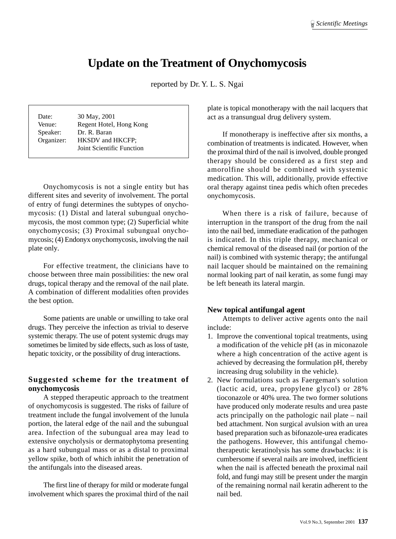# **Update on the Treatment of Onychomycosis**

reported by Dr. Y. L. S. Ngai

| Date:<br>Venue:<br>Speaker:<br>Organizer: | 30 May, 2001<br>Regent Hotel, Hong Kong<br>Dr. R. Baran<br><b>HKSDV</b> and <b>HKCFP</b> :<br>Joint Scientific Function |
|-------------------------------------------|-------------------------------------------------------------------------------------------------------------------------|
|                                           |                                                                                                                         |

Onychomycosis is not a single entity but has different sites and severity of involvement. The portal of entry of fungi determines the subtypes of onychomycosis: (1) Distal and lateral subungual onychomycosis, the most common type; (2) Superficial white onychomycosis; (3) Proximal subungual onychomycosis; (4) Endonyx onychomycosis, involving the nail plate only.

For effective treatment, the clinicians have to choose between three main possibilities: the new oral drugs, topical therapy and the removal of the nail plate. A combination of different modalities often provides the best option.

Some patients are unable or unwilling to take oral drugs. They perceive the infection as trivial to deserve systemic therapy. The use of potent systemic drugs may sometimes be limited by side effects, such as loss of taste, hepatic toxicity, or the possibility of drug interactions.

#### **Suggested scheme for the treatment of onychomycosis**

A stepped therapeutic approach to the treatment of onychomycosis is suggested. The risks of failure of treatment include the fungal involvement of the lunula portion, the lateral edge of the nail and the subungual area. Infection of the subungual area may lead to extensive onycholysis or dermatophytoma presenting as a hard subungual mass or as a distal to proximal yellow spike, both of which inhibit the penetration of the antifungals into the diseased areas.

The first line of therapy for mild or moderate fungal involvement which spares the proximal third of the nail plate is topical monotherapy with the nail lacquers that act as a transungual drug delivery system.

If monotherapy is ineffective after six months, a combination of treatments is indicated. However, when the proximal third of the nail is involved, double pronged therapy should be considered as a first step and amorolfine should be combined with systemic medication. This will, additionally, provide effective oral therapy against tinea pedis which often precedes onychomycosis.

When there is a risk of failure, because of interruption in the transport of the drug from the nail into the nail bed, immediate eradication of the pathogen is indicated. In this triple therapy, mechanical or chemical removal of the diseased nail (or portion of the nail) is combined with systemic therapy; the antifungal nail lacquer should be maintained on the remaining normal looking part of nail keratin, as some fungi may be left beneath its lateral margin.

#### **New topical antifungal agent**

Attempts to deliver active agents onto the nail include:

- 1. Improve the conventional topical treatments, using a modification of the vehicle pH (as in miconazole where a high concentration of the active agent is achieved by decreasing the formulation pH, thereby increasing drug solubility in the vehicle).
- 2. New formulations such as Faergeman's solution (lactic acid, urea, propylene glycol) or 28% tioconazole or 40% urea. The two former solutions have produced only moderate results and urea paste acts principally on the pathologic nail plate – nail bed attachment. Non surgical avulsion with an urea based preparation such as bifonazole-urea eradicates the pathogens. However, this antifungal chemotherapeutic keratinolysis has some drawbacks: it is cumbersome if several nails are involved, inefficient when the nail is affected beneath the proximal nail fold, and fungi may still be present under the margin of the remaining normal nail keratin adherent to the nail bed.